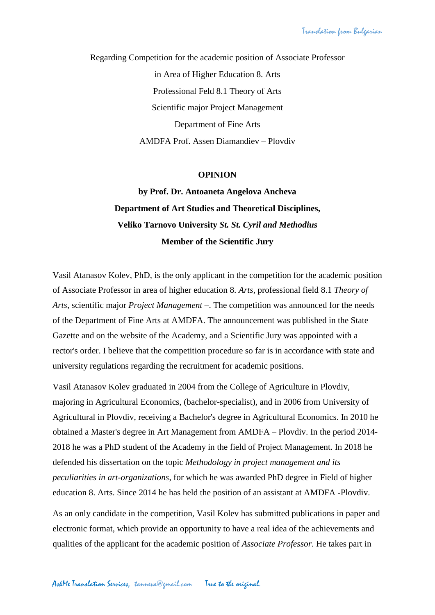Regarding Competition for the academic position of Associate Professor in Area of Higher Education 8. Arts Professional Feld 8.1 Theory of Arts Scientific major Project Management Department of Fine Arts AMDFA Prof. Assen Diamandiev – Plovdiv

## **OPINION**

## **by Prof. Dr. Antoaneta Angelova Ancheva Department of Art Studies and Theoretical Disciplines, Veliko Tarnovo University** *St. St. Cyril and Methodius* **Member of the Scientific Jury**

Vasil Atanasov Kolev, PhD, is the only applicant in the competition for the academic position of Associate Professor in area of higher education 8. *Arts*, professional field 8.1 *Theory of Arts*, scientific major *Project Management* –. The competition was announced for the needs of the Department of Fine Arts at AMDFA. The announcement was published in the State Gazette and on the website of the Academy, and a Scientific Jury was appointed with a rector's order. I believe that the competition procedure so far is in accordance with state and university regulations regarding the recruitment for academic positions.

Vasil Atanasov Kolev graduated in 2004 from the College of Agriculture in Plovdiv, majoring in Agricultural Economics, (bachelor-specialist), and in 2006 from University of Agricultural in Plovdiv, receiving a Bachelor's degree in Agricultural Economics. In 2010 he obtained a Master's degree in Art Management from AMDFA – Plovdiv. In the period 2014- 2018 he was a PhD student of the Academy in the field of Project Management. In 2018 he defended his dissertation on the topic *Methodology in project management and its peculiarities in art-organizations*, for which he was awarded PhD degree in Field of higher education 8. Arts. Since 2014 he has held the position of an assistant at AMDFA -Plovdiv.

As an only candidate in the competition, Vasil Kolev has submitted publications in paper and electronic format, which provide an opportunity to have a real idea of the achievements and qualities of the applicant for the academic position of *Associate Professor*. He takes part in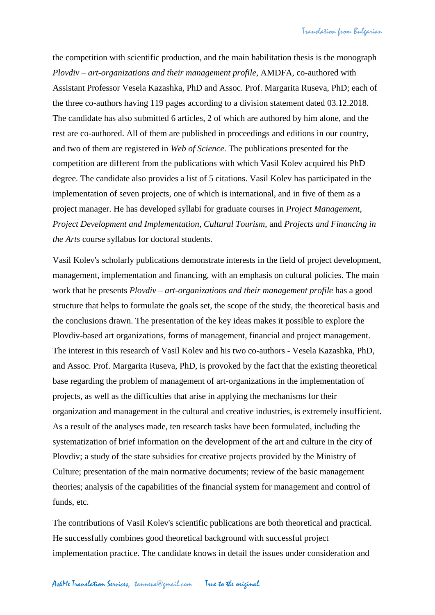the competition with scientific production, and the main habilitation thesis is the monograph *Plovdiv – art-organizations and their management profile*, AMDFA, co-authored with Assistant Professor Vesela Kazashka, PhD and Assoc. Prof. Margarita Ruseva, PhD; each of the three co-authors having 119 pages according to a division statement dated 03.12.2018. The candidate has also submitted 6 articles, 2 of which are authored by him alone, and the rest are co-authored. All of them are published in proceedings and editions in our country, and two of them are registered in *Web of Science*. The publications presented for the competition are different from the publications with which Vasil Kolev acquired his PhD degree. The candidate also provides a list of 5 citations. Vasil Kolev has participated in the implementation of seven projects, one of which is international, and in five of them as a project manager. He has developed syllabi for graduate courses in *Project Management*, *Project Development and Implementation*, *Cultural Tourism*, and *Projects and Financing in the Arts* course syllabus for doctoral students.

Vasil Kolev's scholarly publications demonstrate interests in the field of project development, management, implementation and financing, with an emphasis on cultural policies. The main work that he presents *Plovdiv – art-organizations and their management profile* has a good structure that helps to formulate the goals set, the scope of the study, the theoretical basis and the conclusions drawn. The presentation of the key ideas makes it possible to explore the Plovdiv-based art organizations, forms of management, financial and project management. The interest in this research of Vasil Kolev and his two co-authors - Vesela Kazashka, PhD, and Assoc. Prof. Margarita Ruseva, PhD, is provoked by the fact that the existing theoretical base regarding the problem of management of art-organizations in the implementation of projects, as well as the difficulties that arise in applying the mechanisms for their organization and management in the cultural and creative industries, is extremely insufficient. As a result of the analyses made, ten research tasks have been formulated, including the systematization of brief information on the development of the art and culture in the city of Plovdiv; a study of the state subsidies for creative projects provided by the Ministry of Culture; presentation of the main normative documents; review of the basic management theories; analysis of the capabilities of the financial system for management and control of funds, etc.

The contributions of Vasil Kolev's scientific publications are both theoretical and practical. He successfully combines good theoretical background with successful project implementation practice. The candidate knows in detail the issues under consideration and